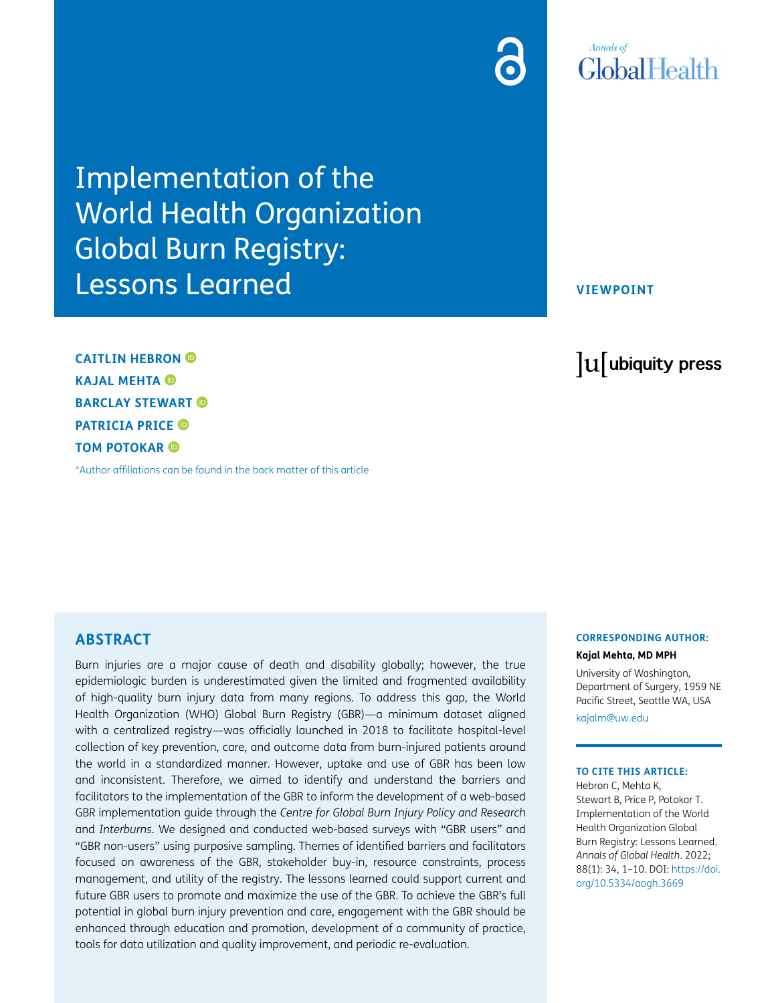Implementation of the World Health Organization Global Burn Registry: Lessons Learned

**CAITLIN HEBRON KAJAL MEHTA BARCLAY STEWART PATRICIA PRICE TOM POTOKAR** 

[\\*Author affiliations can be found in the back matter of this article](#page-7-0)

**VIEWPOINT**

lu ubiquity press

## **ABSTRACT**

Burn injuries are a major cause of death and disability globally; however, the true epidemiologic burden is underestimated given the limited and fragmented availability of high-quality burn injury data from many regions. To address this gap, the World Health Organization (WHO) Global Burn Registry (GBR)—a minimum dataset aligned with a centralized registry—was officially launched in 2018 to facilitate hospital-level collection of key prevention, care, and outcome data from burn-injured patients around the world in a standardized manner. However, uptake and use of GBR has been low and inconsistent. Therefore, we aimed to identify and understand the barriers and facilitators to the implementation of the GBR to inform the development of a web-based GBR implementation guide through the *Centre for Global Burn Injury Policy and Research* and *Interburns*. We designed and conducted web-based surveys with "GBR users" and "GBR non-users" using purposive sampling. Themes of identified barriers and facilitators focused on awareness of the GBR, stakeholder buy-in, resource constraints, process management, and utility of the registry. The lessons learned could support current and future GBR users to promote and maximize the use of the GBR. To achieve the GBR's full potential in global burn injury prevention and care, engagement with the GBR should be enhanced through education and promotion, development of a community of practice, tools for data utilization and quality improvement, and periodic re-evaluation.

# **CORRESPONDING AUTHOR:**

**Kajal Mehta, MD MPH**

University of Washington, Department of Surgery, 1959 NE Pacific Street, Seattle WA, USA

[kajalm@uw.edu](mailto:kajalm@uw.edu)

#### **TO CITE THIS ARTICLE:**

Hebron C, Mehta K, Stewart B, Price P, Potokar T. Implementation of the World Health Organization Global Burn Registry: Lessons Learned. *Annals of Global Health*. 2022; 88(1): 34, 1–10. DOI: [https://doi.](https://doi.org/10.5334/aogh.3669) [org/10.5334/aogh.3669](https://doi.org/10.5334/aogh.3669)

# **Annals** of **GlobalHealth**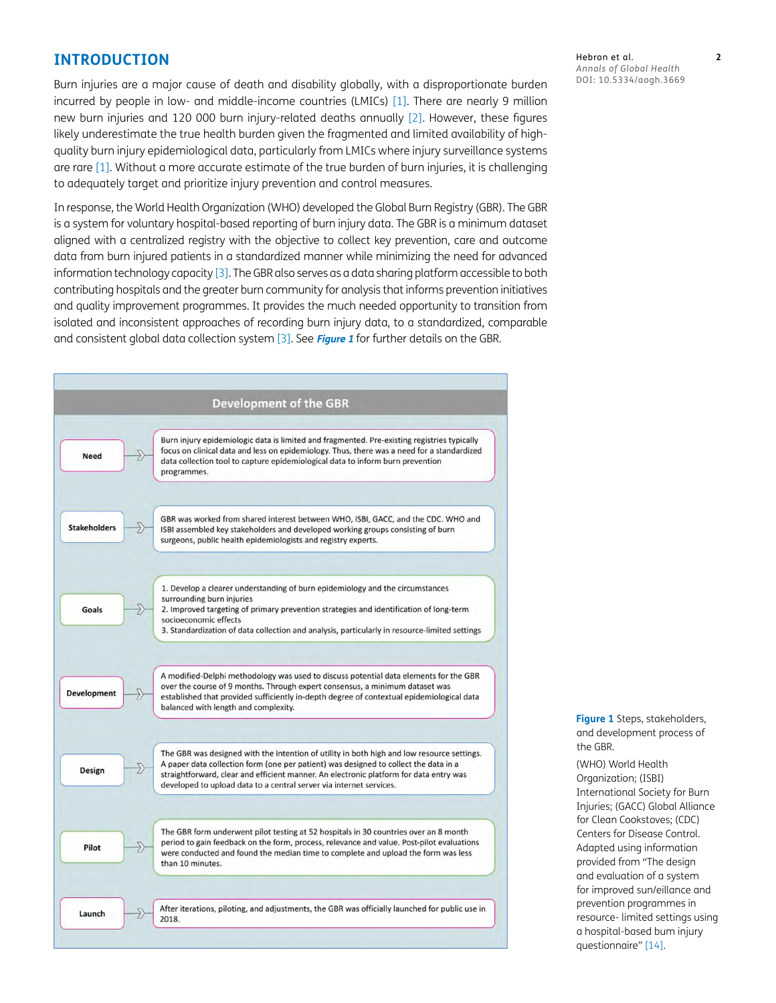# **INTRODUCTION**

Burn injuries are a major cause of death and disability globally, with a disproportionate burden incurred by people in low- and middle-income countries (LMICs) [[1](#page-8-0)]. There are nearly 9 million new burn injuries and 120 000 burn injury-related deaths annually [\[2](#page-8-1)]. However, these figures likely underestimate the true health burden given the fragmented and limited availability of highquality burn injury epidemiological data, particularly from LMICs where injury surveillance systems are rare [\[1\]](#page-8-0). Without a more accurate estimate of the true burden of burn injuries, it is challenging to adequately target and prioritize injury prevention and control measures.

In response, the World Health Organization (WHO) developed the Global Burn Registry (GBR). The GBR is a system for voluntary hospital-based reporting of burn injury data. The GBR is a minimum dataset aligned with a centralized registry with the objective to collect key prevention, care and outcome data from burn injured patients in a standardized manner while minimizing the need for advanced information technology capacity [\[3\]](#page-8-2). The GBR also serves as a data sharing platform accessible to both contributing hospitals and the greater burn community for analysis that informs prevention initiatives and quality improvement programmes. It provides the much needed opportunity to transition from isolated and inconsistent approaches of recording burn injury data, to a standardized, comparable and consistent global data collection system [[3\]](#page-8-2). See **[Figure 1](#page-1-0)** for further details on the GBR.



Hebron et al. **2** *Annals of Global Health* DOI: 10.5334/aogh.3669

<span id="page-1-0"></span>**Figure 1** Steps, stakeholders, and development process of the GBR.

(WHO) World Health Organization; (ISBI) International Society for Burn Injuries; (GACC) Global Alliance for Clean Cookstoves; (CDC) Centers for Disease Control. Adapted using information provided from "The design and evaluation of a system for improved sun/eillance and prevention programmes in resource- limited settings using a hospital-based bum injury questionnaire" [[14\]](#page-8-3).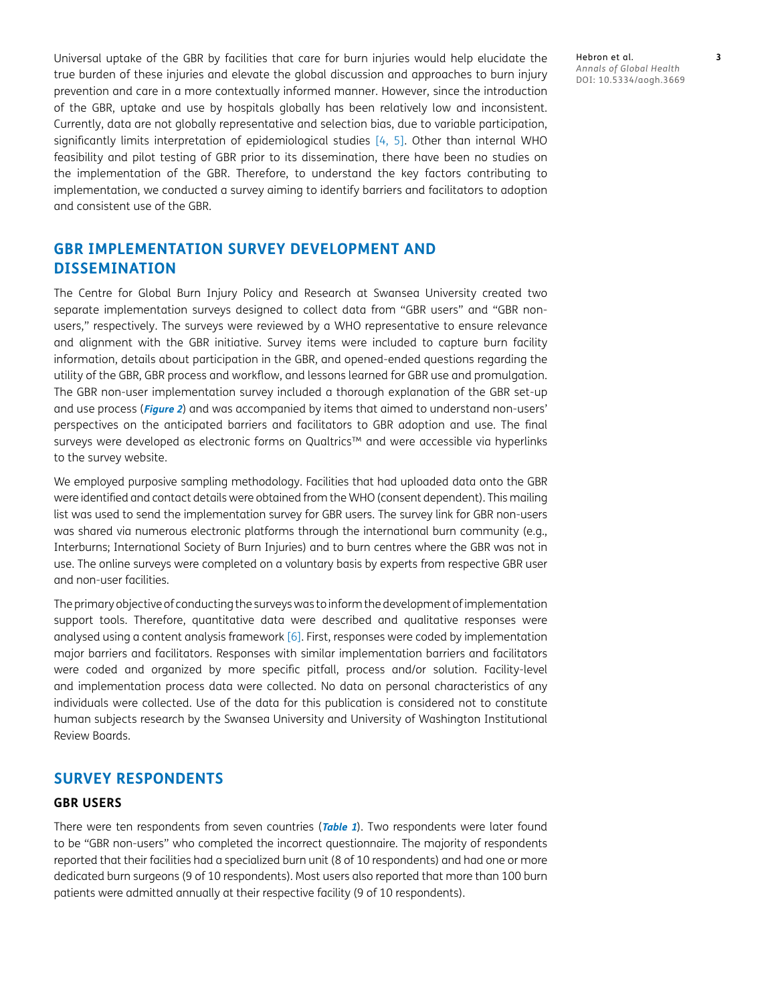Universal uptake of the GBR by facilities that care for burn injuries would help elucidate the true burden of these injuries and elevate the global discussion and approaches to burn injury prevention and care in a more contextually informed manner. However, since the introduction of the GBR, uptake and use by hospitals globally has been relatively low and inconsistent. Currently, data are not globally representative and selection bias, due to variable participation, significantly limits interpretation of epidemiological studies  $[4, 5]$  $[4, 5]$  $[4, 5]$  $[4, 5]$ . Other than internal WHO feasibility and pilot testing of GBR prior to its dissemination, there have been no studies on the implementation of the GBR. Therefore, to understand the key factors contributing to implementation, we conducted a survey aiming to identify barriers and facilitators to adoption and consistent use of the GBR.

# **GBR IMPLEMENTATION SURVEY DEVELOPMENT AND DISSEMINATION**

The Centre for Global Burn Injury Policy and Research at Swansea University created two separate implementation surveys designed to collect data from "GBR users" and "GBR nonusers," respectively. The surveys were reviewed by a WHO representative to ensure relevance and alignment with the GBR initiative. Survey items were included to capture burn facility information, details about participation in the GBR, and opened-ended questions regarding the utility of the GBR, GBR process and workflow, and lessons learned for GBR use and promulgation. The GBR non-user implementation survey included a thorough explanation of the GBR set-up and use process (**[Figure 2](#page-3-0)**) and was accompanied by items that aimed to understand non-users' perspectives on the anticipated barriers and facilitators to GBR adoption and use. The final surveys were developed as electronic forms on Qualtrics™ and were accessible via hyperlinks to the survey website.

We employed purposive sampling methodology. Facilities that had uploaded data onto the GBR were identified and contact details were obtained from the WHO (consent dependent). This mailing list was used to send the implementation survey for GBR users. The survey link for GBR non-users was shared via numerous electronic platforms through the international burn community (e.g., Interburns; International Society of Burn Injuries) and to burn centres where the GBR was not in use. The online surveys were completed on a voluntary basis by experts from respective GBR user and non-user facilities.

The primary objective of conducting the surveys was to inform the development of implementation support tools. Therefore, quantitative data were described and qualitative responses were analysed using a content analysis framework [[6\]](#page-8-6). First, responses were coded by implementation major barriers and facilitators. Responses with similar implementation barriers and facilitators were coded and organized by more specific pitfall, process and/or solution. Facility-level and implementation process data were collected. No data on personal characteristics of any individuals were collected. Use of the data for this publication is considered not to constitute human subjects research by the Swansea University and University of Washington Institutional Review Boards.

# **SURVEY RESPONDENTS**

#### **GBR USERS**

There were ten respondents from seven countries (**[Table 1](#page-4-0)**). Two respondents were later found to be "GBR non-users" who completed the incorrect questionnaire. The majority of respondents reported that their facilities had a specialized burn unit (8 of 10 respondents) and had one or more dedicated burn surgeons (9 of 10 respondents). Most users also reported that more than 100 burn patients were admitted annually at their respective facility (9 of 10 respondents).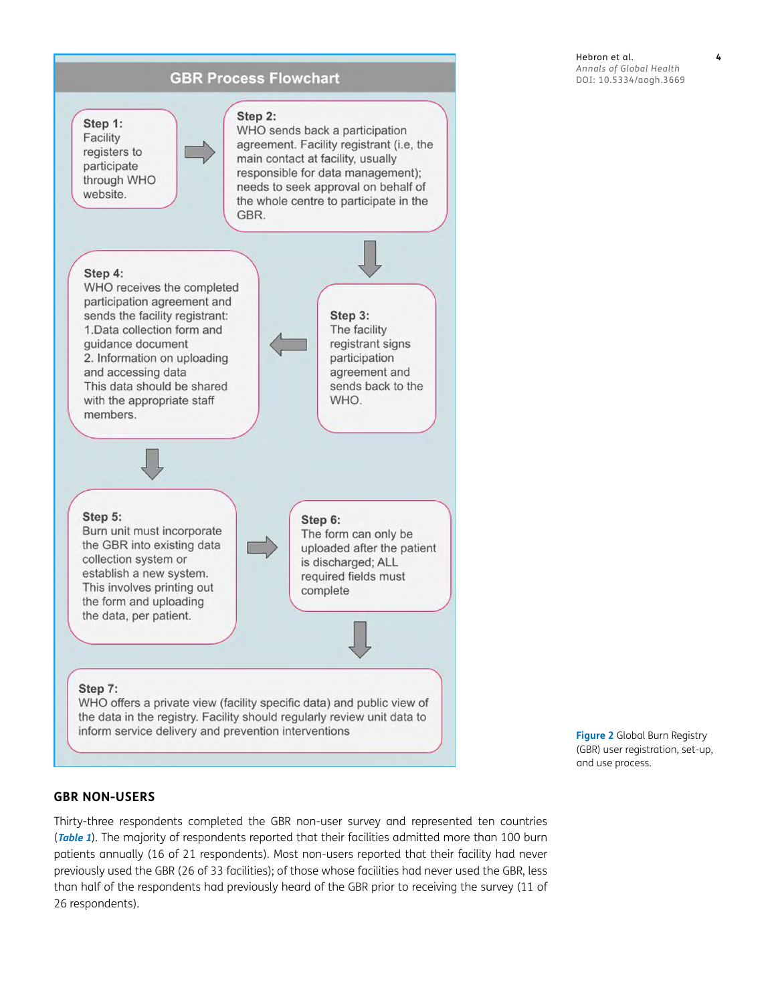

<span id="page-3-0"></span>**Figure 2** Global Burn Registry (GBR) user registration, set-up, and use process.

## **GBR NON-USERS**

Thirty-three respondents completed the GBR non-user survey and represented ten countries (**[Table](#page-4-0) <sup>1</sup>**). The majority of respondents reported that their facilities admitted more than 100 burn patients annually (16 of 21 respondents). Most non-users reported that their facility had never previously used the GBR (26 of 33 facilities); of those whose facilities had never used the GBR, less than half of the respondents had previously heard of the GBR prior to receiving the survey (11 of 26 respondents).

Hebron et al. **4** *Annals of Global Health* DOI: 10.5334/aogh.3669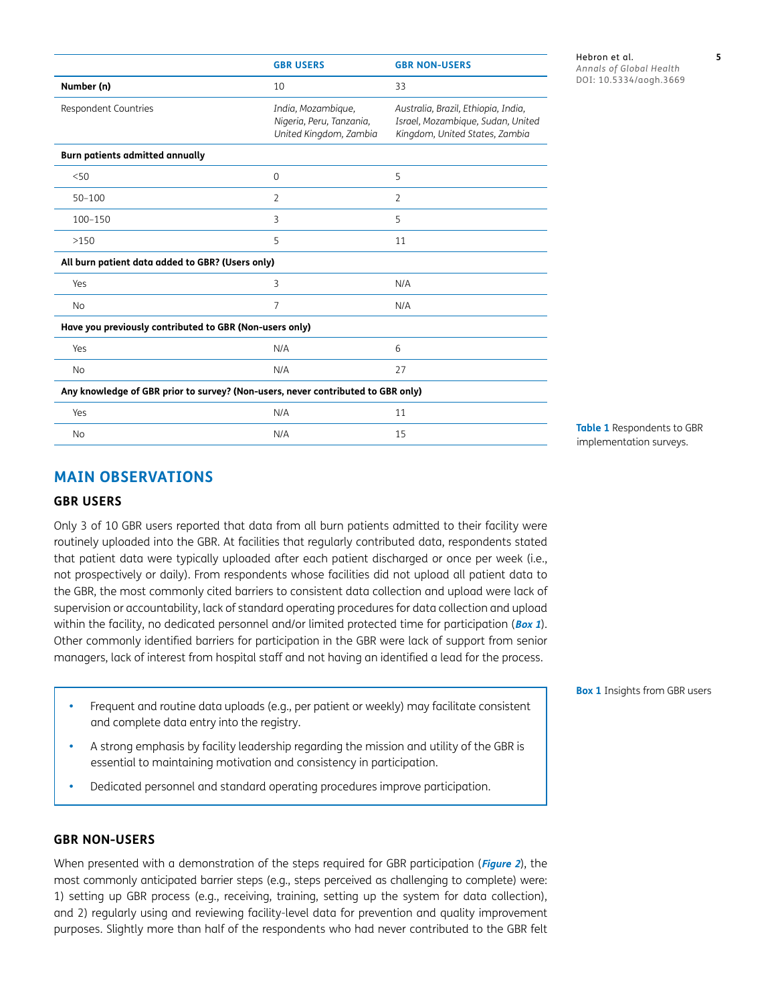|                                                                                  | <b>GBR USERS</b>                                                         | <b>GBR NON-USERS</b>                                                                                       |
|----------------------------------------------------------------------------------|--------------------------------------------------------------------------|------------------------------------------------------------------------------------------------------------|
| Number (n)                                                                       | 10                                                                       | 33                                                                                                         |
| Respondent Countries                                                             | India, Mozambique,<br>Nigeria, Peru, Tanzania,<br>United Kingdom, Zambia | Australia, Brazil, Ethiopia, India,<br>Israel, Mozambique, Sudan, United<br>Kingdom, United States, Zambia |
| Burn patients admitted annually                                                  |                                                                          |                                                                                                            |
| < 50                                                                             | $\Omega$                                                                 | 5                                                                                                          |
| $50 - 100$                                                                       | $\overline{2}$                                                           | $\overline{2}$                                                                                             |
| 100-150                                                                          | 3                                                                        | 5                                                                                                          |
| >150                                                                             | 5                                                                        | 11                                                                                                         |
| All burn patient data added to GBR? (Users only)                                 |                                                                          |                                                                                                            |
| Yes                                                                              | 3                                                                        | N/A                                                                                                        |
| <b>No</b>                                                                        | $\overline{7}$                                                           | N/A                                                                                                        |
| Have you previously contributed to GBR (Non-users only)                          |                                                                          |                                                                                                            |
| Yes                                                                              | N/A                                                                      | 6                                                                                                          |
| <b>No</b>                                                                        | N/A                                                                      | 27                                                                                                         |
| Any knowledge of GBR prior to survey? (Non-users, never contributed to GBR only) |                                                                          |                                                                                                            |
| Yes                                                                              | N/A                                                                      | 11                                                                                                         |
| <b>No</b>                                                                        | N/A                                                                      | 15                                                                                                         |

Hebron et al. **5** *Annals of Global Health* DOI: 10.5334/aogh.3669

<span id="page-4-0"></span>Table 1 Respondents to GBR implementation surveys.

# **MAIN OBSERVATIONS**

#### **GBR USERS**

Only 3 of 10 GBR users reported that data from all burn patients admitted to their facility were routinely uploaded into the GBR. At facilities that regularly contributed data, respondents stated that patient data were typically uploaded after each patient discharged or once per week (i.e., not prospectively or daily). From respondents whose facilities did not upload all patient data to the GBR, the most commonly cited barriers to consistent data collection and upload were lack of supervision or accountability, lack of standard operating procedures for data collection and upload within the facility, no dedicated personnel and/or limited protected time for participation (**[Box 1](#page-4-1)**). Other commonly identified barriers for participation in the GBR were lack of support from senior managers, lack of interest from hospital staff and not having an identified a lead for the process.

- Frequent and routine data uploads (e.g., per patient or weekly) may facilitate consistent and complete data entry into the registry.
- A strong emphasis by facility leadership regarding the mission and utility of the GBR is essential to maintaining motivation and consistency in participation.
- Dedicated personnel and standard operating procedures improve participation.

#### **GBR NON-USERS**

When presented with a demonstration of the steps required for GBR participation (**[Figure 2](#page-3-0)**), the most commonly anticipated barrier steps (e.g., steps perceived as challenging to complete) were: 1) setting up GBR process (e.g., receiving, training, setting up the system for data collection), and 2) regularly using and reviewing facility-level data for prevention and quality improvement purposes. Slightly more than half of the respondents who had never contributed to the GBR felt

<span id="page-4-1"></span>**Box 1** Insights from GBR users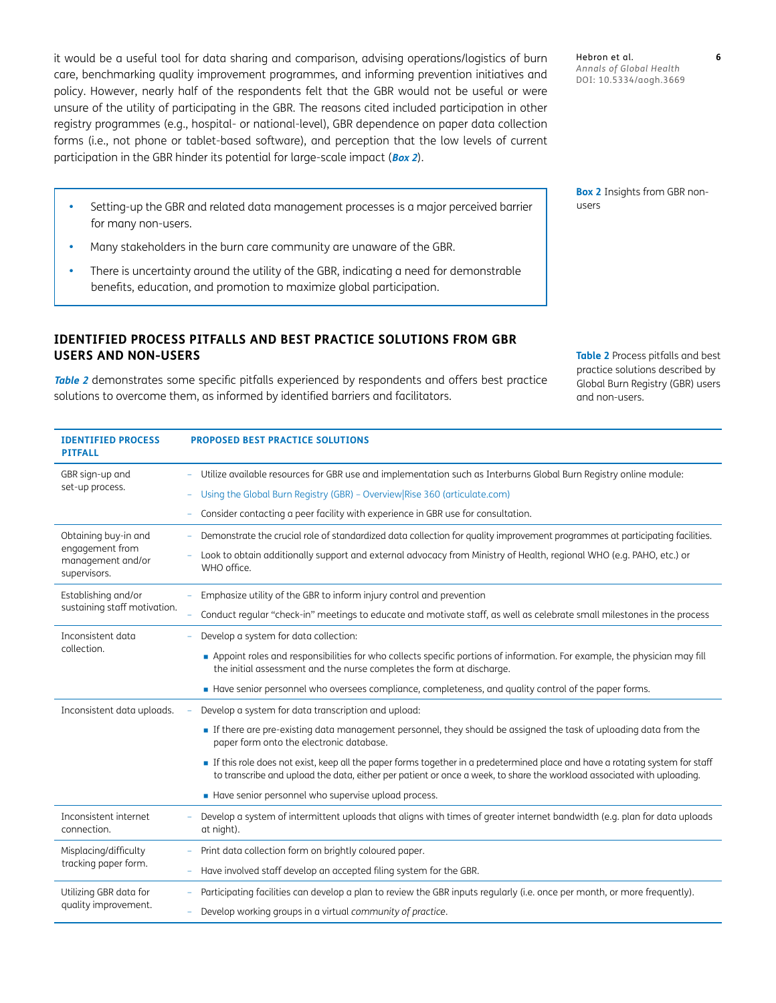it would be a useful tool for data sharing and comparison, advising operations/logistics of burn care, benchmarking quality improvement programmes, and informing prevention initiatives and policy. However, nearly half of the respondents felt that the GBR would not be useful or were unsure of the utility of participating in the GBR. The reasons cited included participation in other registry programmes (e.g., hospital- or national-level), GBR dependence on paper data collection forms (i.e., not phone or tablet-based software), and perception that the low levels of current participation in the GBR hinder its potential for large-scale impact (**[Box 2](#page-5-0)**).

Hebron et al. **6** *Annals of Global Health* DOI: 10.5334/aogh.3669

<span id="page-5-0"></span>**Box 2** Insights from GBR nonusers

Many stakeholders in the burn care community are unaware of the GBR.

for many non-users.

There is uncertainty around the utility of the GBR, indicating a need for demonstrable benefits, education, and promotion to maximize global participation.

Setting-up the GBR and related data management processes is a major perceived barrier

## **IDENTIFIED PROCESS PITFALLS AND BEST PRACTICE SOLUTIONS FROM GBR USERS AND NON-USERS**

**[Table](#page-5-1) <sup>2</sup>** demonstrates some specific pitfalls experienced by respondents and offers best practice solutions to overcome them, as informed by identified barriers and facilitators.

<span id="page-5-1"></span>**Table 2** Process pitfalls and best practice solutions described by Global Burn Registry (GBR) users and non-users.

| <b>IDENTIFIED PROCESS</b><br><b>PITFALL</b>                                  | <b>PROPOSED BEST PRACTICE SOLUTIONS</b>                                                                                                                                                                                                                |
|------------------------------------------------------------------------------|--------------------------------------------------------------------------------------------------------------------------------------------------------------------------------------------------------------------------------------------------------|
| GBR sign-up and<br>set-up process.                                           | Utilize available resources for GBR use and implementation such as Interburns Global Burn Registry online module:                                                                                                                                      |
|                                                                              | Using the Global Burn Registry (GBR) - Overview Rise 360 (articulate.com)                                                                                                                                                                              |
|                                                                              | Consider contacting a peer facility with experience in GBR use for consultation.                                                                                                                                                                       |
| Obtaining buy-in and<br>engagement from<br>management and/or<br>supervisors. | Demonstrate the crucial role of standardized data collection for quality improvement programmes at participating facilities.                                                                                                                           |
|                                                                              | Look to obtain additionally support and external advocacy from Ministry of Health, regional WHO (e.g. PAHO, etc.) or<br>WHO office.                                                                                                                    |
| Establishing and/or<br>sustaining staff motivation.                          | Emphasize utility of the GBR to inform injury control and prevention                                                                                                                                                                                   |
|                                                                              | Conduct regular "check-in" meetings to educate and motivate staff, as well as celebrate small milestones in the process                                                                                                                                |
| Inconsistent data<br>collection.                                             | Develop a system for data collection:                                                                                                                                                                                                                  |
|                                                                              | • Appoint roles and responsibilities for who collects specific portions of information. For example, the physician may fill<br>the initial assessment and the nurse completes the form at discharge.                                                   |
|                                                                              | Have senior personnel who oversees compliance, completeness, and quality control of the paper forms.                                                                                                                                                   |
| Inconsistent data uploads.                                                   | Develop a system for data transcription and upload:                                                                                                                                                                                                    |
|                                                                              | If there are pre-existing data management personnel, they should be assigned the task of uploading data from the<br>paper form onto the electronic database.                                                                                           |
|                                                                              | If this role does not exist, keep all the paper forms together in a predetermined place and have a rotating system for staff<br>to transcribe and upload the data, either per patient or once a week, to share the workload associated with uploading. |
|                                                                              | Have senior personnel who supervise upload process.                                                                                                                                                                                                    |
| Inconsistent internet<br>connection.                                         | Develop a system of intermittent uploads that aligns with times of greater internet bandwidth (e.g. plan for data uploads<br>at night).                                                                                                                |
| Misplacing/difficulty<br>tracking paper form.                                | Print data collection form on brightly coloured paper.                                                                                                                                                                                                 |
|                                                                              | Have involved staff develop an accepted filing system for the GBR.                                                                                                                                                                                     |
| Utilizing GBR data for<br>quality improvement.                               | Participating facilities can develop a plan to review the GBR inputs regularly (i.e. once per month, or more frequently).                                                                                                                              |
|                                                                              | Develop working groups in a virtual community of practice.                                                                                                                                                                                             |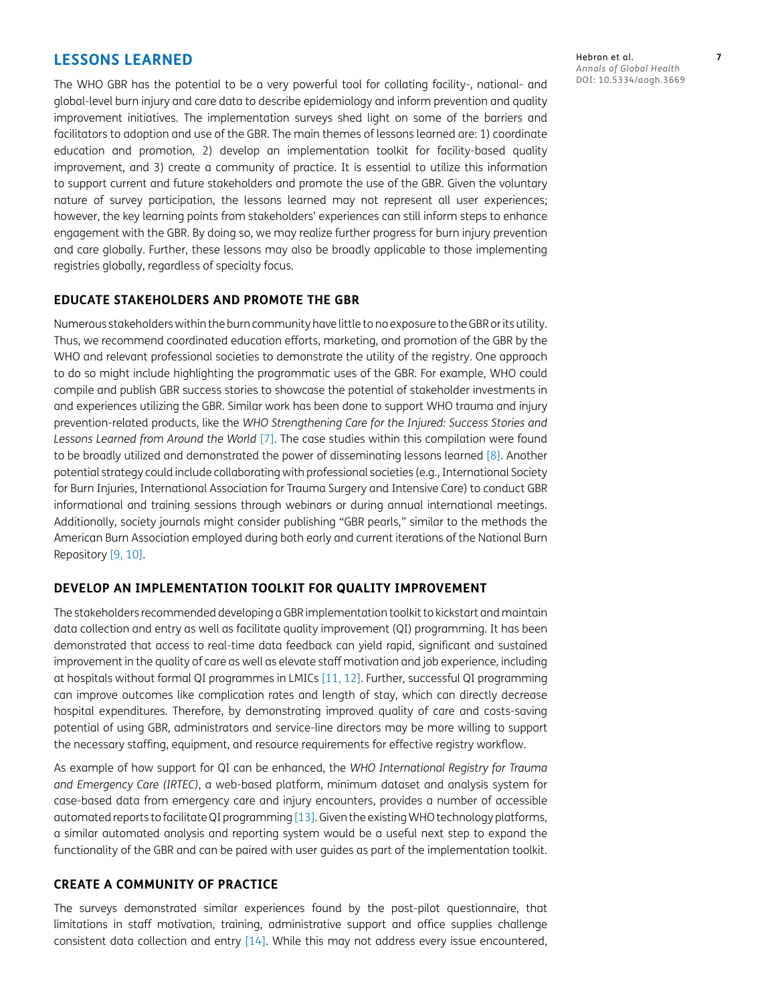## **LESSONS LEARNED**

The WHO GBR has the potential to be a very powerful tool for collating facility-, national- and global-level burn injury and care data to describe epidemiology and inform prevention and quality improvement initiatives. The implementation surveys shed light on some of the barriers and facilitators to adoption and use of the GBR. The main themes of lessons learned are: 1) coordinate education and promotion, 2) develop an implementation toolkit for facility-based quality improvement, and 3) create a community of practice. It is essential to utilize this information to support current and future stakeholders and promote the use of the GBR. Given the voluntary nature of survey participation, the lessons learned may not represent all user experiences; however, the key learning points from stakeholders' experiences can still inform steps to enhance engagement with the GBR. By doing so, we may realize further progress for burn injury prevention and care globally. Further, these lessons may also be broadly applicable to those implementing registries globally, regardless of specialty focus.

## **EDUCATE STAKEHOLDERS AND PROMOTE THE GBR**

Numerous stakeholders within the burn community have little to no exposure to the GBR or its utility. Thus, we recommend coordinated education efforts, marketing, and promotion of the GBR by the WHO and relevant professional societies to demonstrate the utility of the registry. One approach to do so might include highlighting the programmatic uses of the GBR. For example, WHO could compile and publish GBR success stories to showcase the potential of stakeholder investments in and experiences utilizing the GBR. Similar work has been done to support WHO trauma and injury prevention-related products, like the *WHO Strengthening Care for the Injured: Success Stories and Lessons Learned from Around the World* [\[7](#page-8-7)]. The case studies within this compilation were found to be broadly utilized and demonstrated the power of disseminating lessons learned [[8](#page-8-8)]. Another potential strategy could include collaborating with professional societies (e.g., International Society for Burn Injuries, International Association for Trauma Surgery and Intensive Care) to conduct GBR informational and training sessions through webinars or during annual international meetings. Additionally, society journals might consider publishing "GBR pearls," similar to the methods the American Burn Association employed during both early and current iterations of the National Burn Repository [[9,](#page-8-9) [10\]](#page-8-10).

#### **DEVELOP AN IMPLEMENTATION TOOLKIT FOR QUALITY IMPROVEMENT**

The stakeholders recommended developing a GBR implementation toolkit to kickstart and maintain data collection and entry as well as facilitate quality improvement (QI) programming. It has been demonstrated that access to real-time data feedback can yield rapid, significant and sustained improvement in the quality of care as well as elevate staff motivation and job experience, including at hospitals without formal QI programmes in LMICs [[11](#page-8-11), [12\]](#page-8-12). Further, successful QI programming can improve outcomes like complication rates and length of stay, which can directly decrease hospital expenditures. Therefore, by demonstrating improved quality of care and costs-saving potential of using GBR, administrators and service-line directors may be more willing to support the necessary staffing, equipment, and resource requirements for effective registry workflow.

As example of how support for QI can be enhanced, the *WHO International Registry for Trauma and Emergency Care (IRTEC)*, a web-based platform, minimum dataset and analysis system for case-based data from emergency care and injury encounters, provides a number of accessible automated reports to facilitate QI programming [\[13\]](#page-8-13). Given the existing WHO technology platforms, a similar automated analysis and reporting system would be a useful next step to expand the functionality of the GBR and can be paired with user guides as part of the implementation toolkit.

## **CREATE A COMMUNITY OF PRACTICE**

The surveys demonstrated similar experiences found by the post-pilot questionnaire, that limitations in staff motivation, training, administrative support and office supplies challenge consistent data collection and entry [\[14\]](#page-8-3). While this may not address every issue encountered, Hebron et al. **7** *Annals of Global Health* DOI: 10.5334/aogh.3669